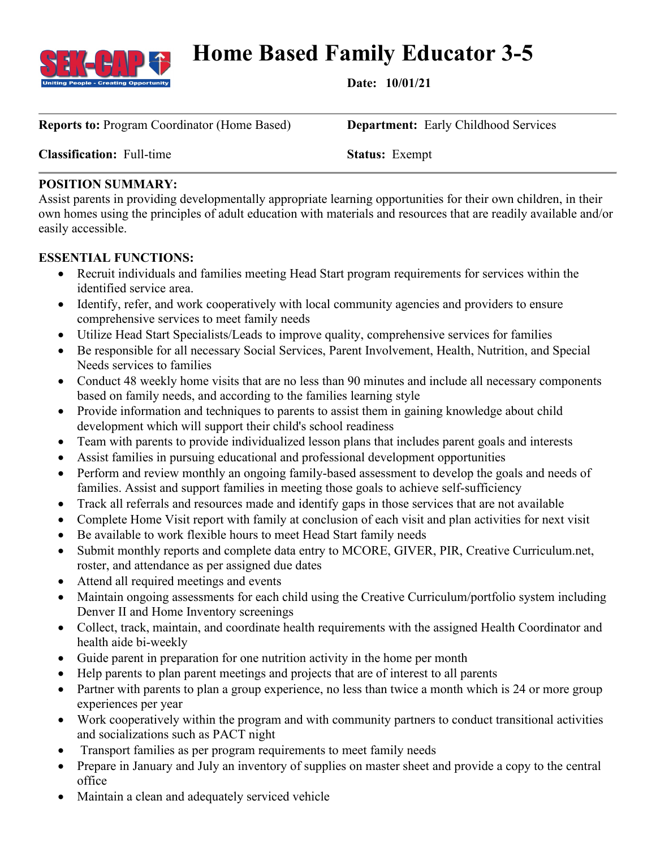

# **Home Based Family Educator 3-5**

**Date: 10/01/21**

**Reports to:** Program Coordinator (Home Based) **Department:** Early Childhood Services

**Classification:** Full-time **Status:** Exempt

# **POSITION SUMMARY:**

Assist parents in providing developmentally appropriate learning opportunities for their own children, in their own homes using the principles of adult education with materials and resources that are readily available and/or easily accessible.

# **ESSENTIAL FUNCTIONS:**

- Recruit individuals and families meeting Head Start program requirements for services within the identified service area.
- Identify, refer, and work cooperatively with local community agencies and providers to ensure comprehensive services to meet family needs
- Utilize Head Start Specialists/Leads to improve quality, comprehensive services for families
- Be responsible for all necessary Social Services, Parent Involvement, Health, Nutrition, and Special Needs services to families
- Conduct 48 weekly home visits that are no less than 90 minutes and include all necessary components based on family needs, and according to the families learning style
- Provide information and techniques to parents to assist them in gaining knowledge about child development which will support their child's school readiness
- Team with parents to provide individualized lesson plans that includes parent goals and interests
- Assist families in pursuing educational and professional development opportunities
- Perform and review monthly an ongoing family-based assessment to develop the goals and needs of families. Assist and support families in meeting those goals to achieve self-sufficiency
- Track all referrals and resources made and identify gaps in those services that are not available
- Complete Home Visit report with family at conclusion of each visit and plan activities for next visit
- Be available to work flexible hours to meet Head Start family needs
- Submit monthly reports and complete data entry to MCORE, GIVER, PIR, Creative Curriculum.net, roster, and attendance as per assigned due dates
- Attend all required meetings and events
- Maintain ongoing assessments for each child using the Creative Curriculum/portfolio system including Denver II and Home Inventory screenings
- Collect, track, maintain, and coordinate health requirements with the assigned Health Coordinator and health aide bi-weekly
- Guide parent in preparation for one nutrition activity in the home per month
- Help parents to plan parent meetings and projects that are of interest to all parents
- Partner with parents to plan a group experience, no less than twice a month which is 24 or more group experiences per year
- Work cooperatively within the program and with community partners to conduct transitional activities and socializations such as PACT night
- Transport families as per program requirements to meet family needs
- Prepare in January and July an inventory of supplies on master sheet and provide a copy to the central office
- Maintain a clean and adequately serviced vehicle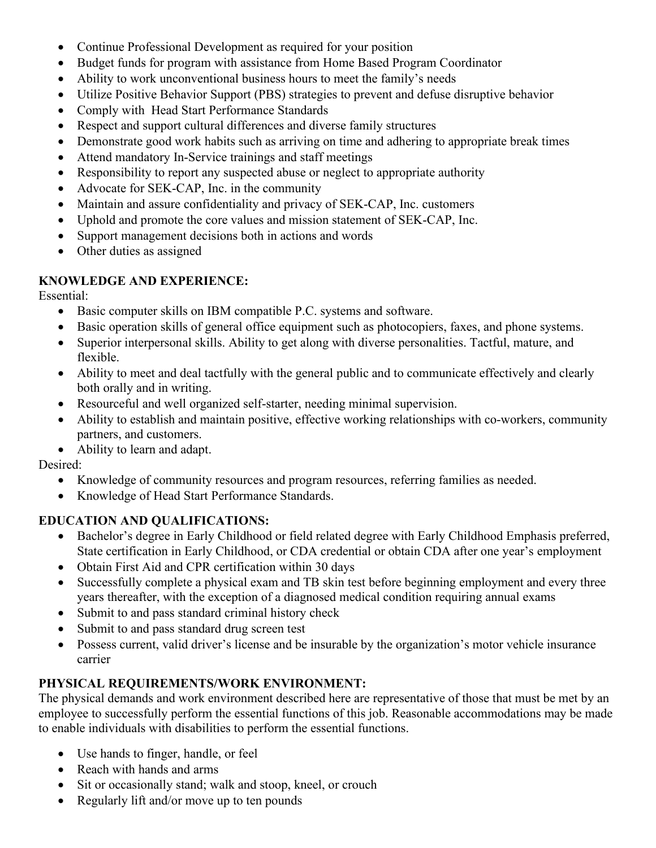- Continue Professional Development as required for your position
- Budget funds for program with assistance from Home Based Program Coordinator
- Ability to work unconventional business hours to meet the family's needs
- Utilize Positive Behavior Support (PBS) strategies to prevent and defuse disruptive behavior
- Comply with Head Start Performance Standards
- Respect and support cultural differences and diverse family structures
- Demonstrate good work habits such as arriving on time and adhering to appropriate break times
- Attend mandatory In-Service trainings and staff meetings
- Responsibility to report any suspected abuse or neglect to appropriate authority
- Advocate for SEK-CAP, Inc. in the community
- Maintain and assure confidentiality and privacy of SEK-CAP, Inc. customers
- Uphold and promote the core values and mission statement of SEK-CAP, Inc.
- Support management decisions both in actions and words
- Other duties as assigned

### **KNOWLEDGE AND EXPERIENCE:**

Essential:

- Basic computer skills on IBM compatible P.C. systems and software.
- Basic operation skills of general office equipment such as photocopiers, faxes, and phone systems.
- Superior interpersonal skills. Ability to get along with diverse personalities. Tactful, mature, and flexible.
- Ability to meet and deal tactfully with the general public and to communicate effectively and clearly both orally and in writing.
- Resourceful and well organized self-starter, needing minimal supervision.
- Ability to establish and maintain positive, effective working relationships with co-workers, community partners, and customers.
- Ability to learn and adapt.

Desired:

- Knowledge of community resources and program resources, referring families as needed.
- Knowledge of Head Start Performance Standards.

# **EDUCATION AND QUALIFICATIONS:**

- Bachelor's degree in Early Childhood or field related degree with Early Childhood Emphasis preferred, State certification in Early Childhood, or CDA credential or obtain CDA after one year's employment
- Obtain First Aid and CPR certification within 30 days
- Successfully complete a physical exam and TB skin test before beginning employment and every three years thereafter, with the exception of a diagnosed medical condition requiring annual exams
- Submit to and pass standard criminal history check
- Submit to and pass standard drug screen test
- Possess current, valid driver's license and be insurable by the organization's motor vehicle insurance carrier

# **PHYSICAL REQUIREMENTS/WORK ENVIRONMENT:**

The physical demands and work environment described here are representative of those that must be met by an employee to successfully perform the essential functions of this job. Reasonable accommodations may be made to enable individuals with disabilities to perform the essential functions.

- Use hands to finger, handle, or feel
- Reach with hands and arms
- Sit or occasionally stand; walk and stoop, kneel, or crouch
- Regularly lift and/or move up to ten pounds